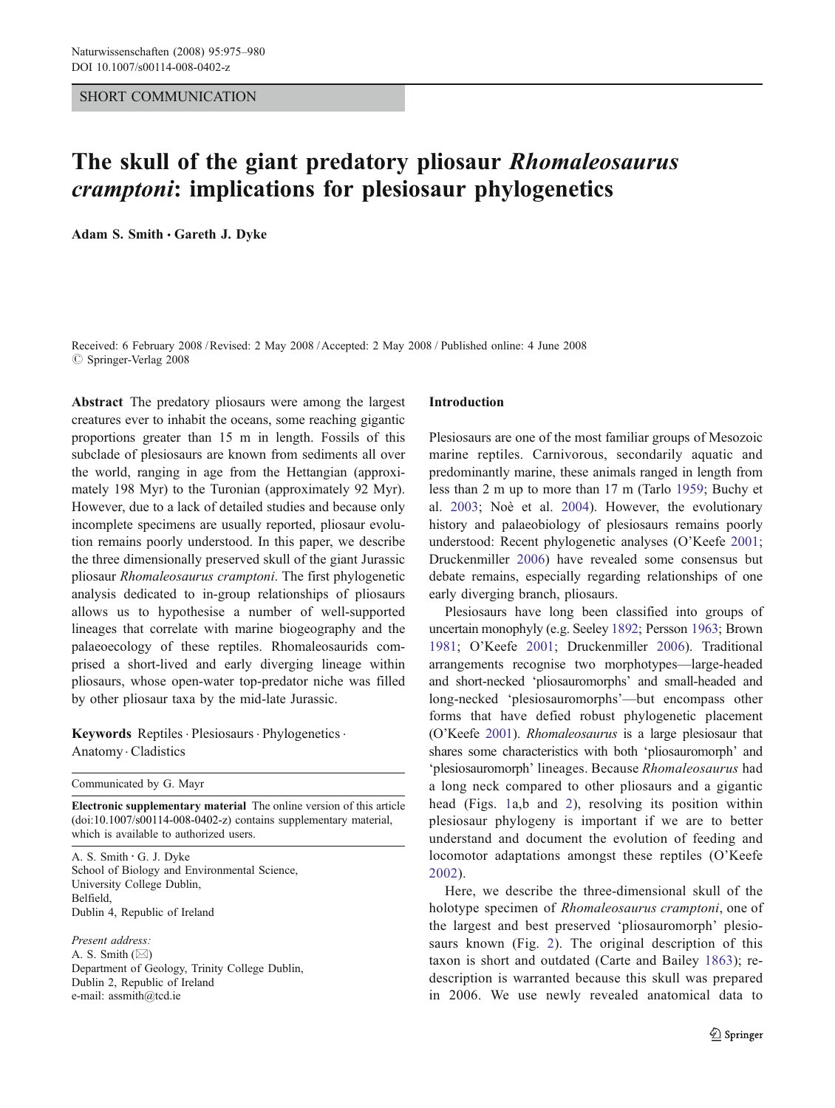# SHORT COMMUNICATION

# The skull of the giant predatory pliosaur Rhomaleosaurus cramptoni: implications for plesiosaur phylogenetics

Adam S. Smith . Gareth J. Dyke

Received: 6 February 2008 /Revised: 2 May 2008 /Accepted: 2 May 2008 / Published online: 4 June 2008  $\oslash$  Springer-Verlag 2008

Abstract The predatory pliosaurs were among the largest creatures ever to inhabit the oceans, some reaching gigantic proportions greater than 15 m in length. Fossils of this subclade of plesiosaurs are known from sediments all over the world, ranging in age from the Hettangian (approximately 198 Myr) to the Turonian (approximately 92 Myr). However, due to a lack of detailed studies and because only incomplete specimens are usually reported, pliosaur evolution remains poorly understood. In this paper, we describe the three dimensionally preserved skull of the giant Jurassic pliosaur Rhomaleosaurus cramptoni. The first phylogenetic analysis dedicated to in-group relationships of pliosaurs allows us to hypothesise a number of well-supported lineages that correlate with marine biogeography and the palaeoecology of these reptiles. Rhomaleosaurids comprised a short-lived and early diverging lineage within pliosaurs, whose open-water top-predator niche was filled by other pliosaur taxa by the mid-late Jurassic.

Keywords Reptiles. Plesiosaurs. Phylogenetics. Anatomy . Cladistics

Communicated by G. Mayr

Electronic supplementary material The online version of this article (doi:[10.1007/s00114-008-0402-z](http://dx.doi.org/10.1007/s00114-008-0402-z)) contains supplementary material, which is available to authorized users.

A. S. Smith *:* G. J. Dyke School of Biology and Environmental Science, University College Dublin, Belfield, Dublin 4, Republic of Ireland

Present address: A. S. Smith (*\**) Department of Geology, Trinity College Dublin, Dublin 2, Republic of Ireland e-mail: assmith@tcd.ie

## Introduction

Plesiosaurs are one of the most familiar groups of Mesozoic marine reptiles. Carnivorous, secondarily aquatic and predominantly marine, these animals ranged in length from less than 2 m up to more than 17 m (Tarlo [1959](#page-5-0); Buchy et al. [2003](#page-5-0); Noè et al. [2004\)](#page-5-0). However, the evolutionary history and palaeobiology of plesiosaurs remains poorly understood: Recent phylogenetic analyses (O'Keefe [2001;](#page-5-0) Druckenmiller [2006\)](#page-5-0) have revealed some consensus but debate remains, especially regarding relationships of one early diverging branch, pliosaurs.

Plesiosaurs have long been classified into groups of uncertain monophyly (e.g. Seeley [1892;](#page-5-0) Persson [1963;](#page-5-0) Brown [1981](#page-5-0); O'Keefe [2001;](#page-5-0) Druckenmiller [2006\)](#page-5-0). Traditional arrangements recognise two morphotypes—large-headed and short-necked 'pliosauromorphs' and small-headed and long-necked 'plesiosauromorphs'—but encompass other forms that have defied robust phylogenetic placement (O'Keefe [2001\)](#page-5-0). Rhomaleosaurus is a large plesiosaur that shares some characteristics with both 'pliosauromorph' and 'plesiosauromorph' lineages. Because Rhomaleosaurus had a long neck compared to other pliosaurs and a gigantic head (Figs. [1a](#page-1-0),b and [2\)](#page-2-0), resolving its position within plesiosaur phylogeny is important if we are to better understand and document the evolution of feeding and locomotor adaptations amongst these reptiles (O'Keefe [2002\)](#page-5-0).

Here, we describe the three-dimensional skull of the holotype specimen of Rhomaleosaurus cramptoni, one of the largest and best preserved 'pliosauromorph' plesiosaurs known (Fig. [2\)](#page-2-0). The original description of this taxon is short and outdated (Carte and Bailey [1863](#page-5-0)); redescription is warranted because this skull was prepared in 2006. We use newly revealed anatomical data to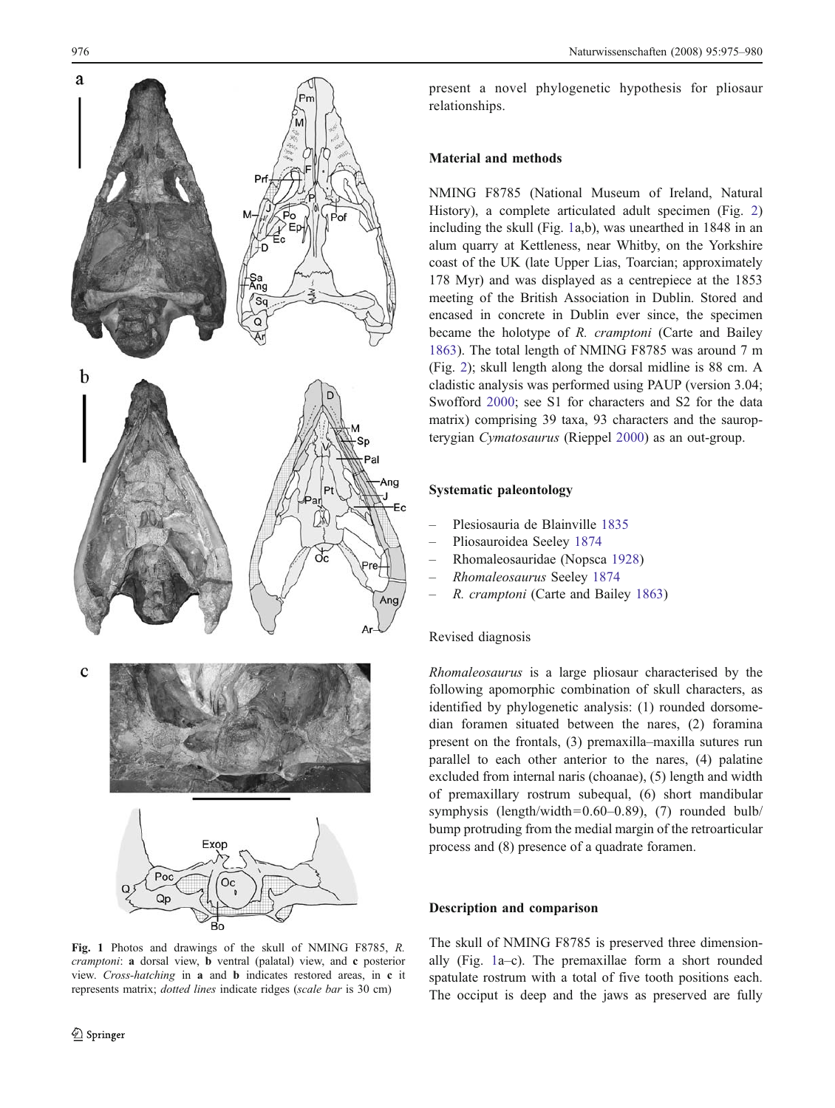<span id="page-1-0"></span>

Fig. 1 Photos and drawings of the skull of NMING F8785, R. cramptoni: a dorsal view, **b** ventral (palatal) view, and **c** posterior view. Cross-hatching in a and b indicates restored areas, in c it represents matrix; dotted lines indicate ridges (scale bar is 30 cm)

present a novel phylogenetic hypothesis for pliosaur relationships.

# Material and methods

NMING F8785 (National Museum of Ireland, Natural History), a complete articulated adult specimen (Fig. [2](#page-2-0)) including the skull (Fig. 1a,b), was unearthed in 1848 in an alum quarry at Kettleness, near Whitby, on the Yorkshire coast of the UK (late Upper Lias, Toarcian; approximately 178 Myr) and was displayed as a centrepiece at the 1853 meeting of the British Association in Dublin. Stored and encased in concrete in Dublin ever since, the specimen became the holotype of R. cramptoni (Carte and Bailey [1863](#page-5-0)). The total length of NMING F8785 was around 7 m (Fig. [2](#page-2-0)); skull length along the dorsal midline is 88 cm. A cladistic analysis was performed using PAUP (version 3.04; Swofford [2000](#page-5-0); see S1 for characters and S2 for the data matrix) comprising 39 taxa, 93 characters and the sauropterygian Cymatosaurus (Rieppel [2000\)](#page-5-0) as an out-group.

# Systematic paleontology

- Plesiosauria de Blainville [1835](#page-5-0)
- Pliosauroidea Seeley [1874](#page-5-0)
- Rhomaleosauridae (Nopsca [1928](#page-5-0))
- Rhomaleosaurus Seeley [1874](#page-5-0)
- R. cramptoni (Carte and Bailey [1863](#page-5-0))

### Revised diagnosis

Rhomaleosaurus is a large pliosaur characterised by the following apomorphic combination of skull characters, as identified by phylogenetic analysis: (1) rounded dorsomedian foramen situated between the nares, (2) foramina present on the frontals, (3) premaxilla–maxilla sutures run parallel to each other anterior to the nares, (4) palatine excluded from internal naris (choanae), (5) length and width of premaxillary rostrum subequal, (6) short mandibular symphysis (length/width=0.60–0.89), (7) rounded bulb/ bump protruding from the medial margin of the retroarticular process and (8) presence of a quadrate foramen.

# Description and comparison

The skull of NMING F8785 is preserved three dimensionally (Fig. 1a–c). The premaxillae form a short rounded spatulate rostrum with a total of five tooth positions each. The occiput is deep and the jaws as preserved are fully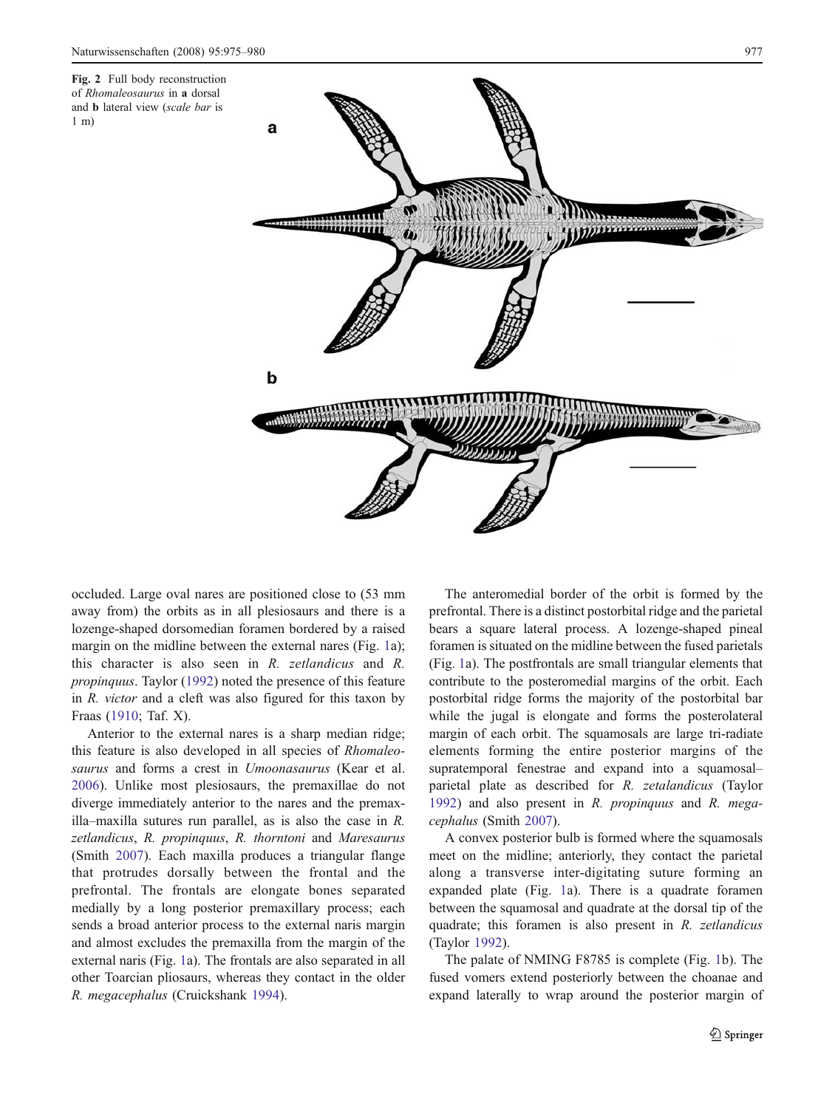<span id="page-2-0"></span>Fig. 2 Full body reconstruction of Rhomaleosaurus in a dorsal and b lateral view (scale bar is 1 m)



occluded. Large oval nares are positioned close to (53 mm away from) the orbits as in all plesiosaurs and there is a lozenge-shaped dorsomedian foramen bordered by a raised margin on the midline between the external nares (Fig. [1a](#page-1-0)); this character is also seen in R. zetlandicus and R. propinquus. Taylor [\(1992](#page-5-0)) noted the presence of this feature in R. victor and a cleft was also figured for this taxon by Fraas ([1910;](#page-5-0) Taf. X).

Anterior to the external nares is a sharp median ridge; this feature is also developed in all species of Rhomaleosaurus and forms a crest in Umoonasaurus (Kear et al. [2006\)](#page-5-0). Unlike most plesiosaurs, the premaxillae do not diverge immediately anterior to the nares and the premaxilla–maxilla sutures run parallel, as is also the case in R. zetlandicus, R. propinquus, R. thorntoni and Maresaurus (Smith [2007\)](#page-5-0). Each maxilla produces a triangular flange that protrudes dorsally between the frontal and the prefrontal. The frontals are elongate bones separated medially by a long posterior premaxillary process; each sends a broad anterior process to the external naris margin and almost excludes the premaxilla from the margin of the external naris (Fig. [1](#page-1-0)a). The frontals are also separated in all other Toarcian pliosaurs, whereas they contact in the older R. megacephalus (Cruickshank [1994\)](#page-5-0).

The anteromedial border of the orbit is formed by the prefrontal. There is a distinct postorbital ridge and the parietal bears a square lateral process. A lozenge-shaped pineal foramen is situated on the midline between the fused parietals (Fig. [1](#page-1-0)a). The postfrontals are small triangular elements that contribute to the posteromedial margins of the orbit. Each postorbital ridge forms the majority of the postorbital bar while the jugal is elongate and forms the posterolateral margin of each orbit. The squamosals are large tri-radiate elements forming the entire posterior margins of the supratemporal fenestrae and expand into a squamosal– parietal plate as described for R. zetalandicus (Taylor [1992\)](#page-5-0) and also present in R. propinquus and R. megacephalus (Smith [2007](#page-5-0)).

A convex posterior bulb is formed where the squamosals meet on the midline; anteriorly, they contact the parietal along a transverse inter-digitating suture forming an expanded plate (Fig. [1a](#page-1-0)). There is a quadrate foramen between the squamosal and quadrate at the dorsal tip of the quadrate; this foramen is also present in R. zetlandicus (Taylor [1992](#page-5-0)).

The palate of NMING F8785 is complete (Fig. [1](#page-1-0)b). The fused vomers extend posteriorly between the choanae and expand laterally to wrap around the posterior margin of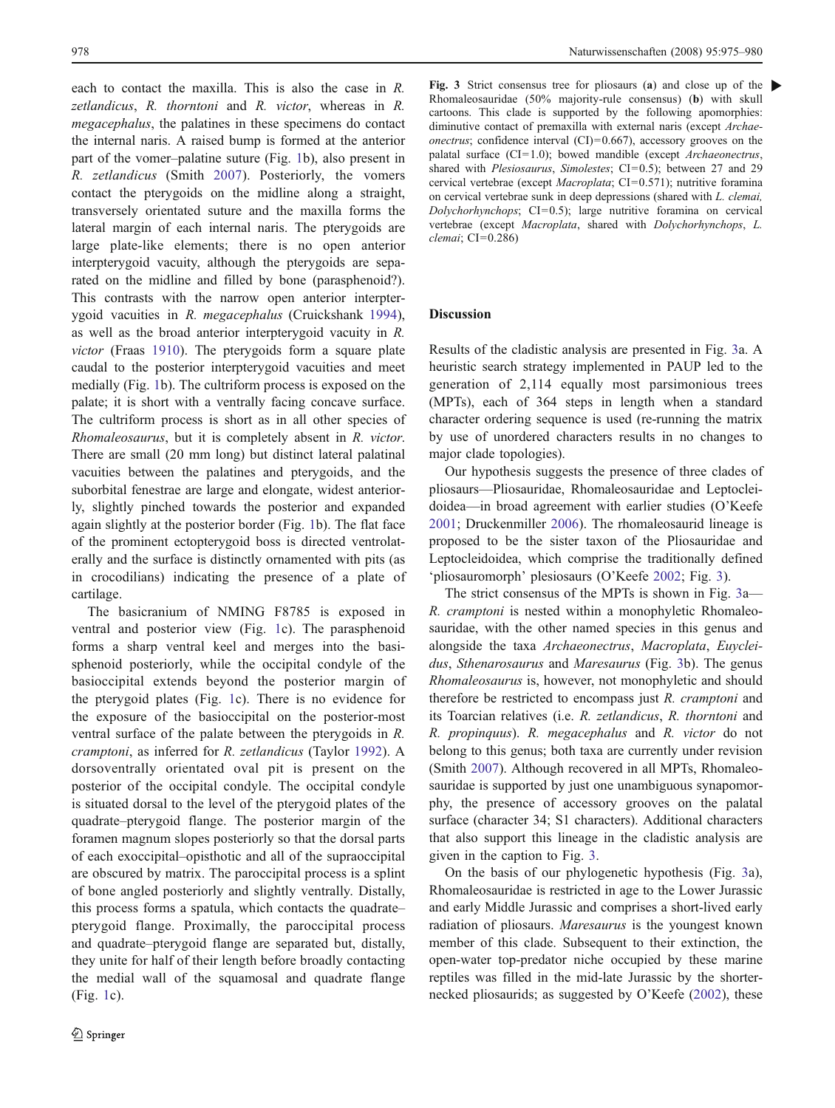each to contact the maxilla. This is also the case in R. zetlandicus, R. thorntoni and R. victor, whereas in R. megacephalus, the palatines in these specimens do contact the internal naris. A raised bump is formed at the anterior part of the vomer–palatine suture (Fig. [1](#page-1-0)b), also present in R. zetlandicus (Smith [2007\)](#page-5-0). Posteriorly, the vomers contact the pterygoids on the midline along a straight, transversely orientated suture and the maxilla forms the lateral margin of each internal naris. The pterygoids are large plate-like elements; there is no open anterior interpterygoid vacuity, although the pterygoids are separated on the midline and filled by bone (parasphenoid?). This contrasts with the narrow open anterior interpterygoid vacuities in R. megacephalus (Cruickshank [1994](#page-5-0)), as well as the broad anterior interpterygoid vacuity in R. victor (Fraas [1910](#page-5-0)). The pterygoids form a square plate caudal to the posterior interpterygoid vacuities and meet medially (Fig. [1b](#page-1-0)). The cultriform process is exposed on the palate; it is short with a ventrally facing concave surface. The cultriform process is short as in all other species of Rhomaleosaurus, but it is completely absent in R. victor. There are small (20 mm long) but distinct lateral palatinal vacuities between the palatines and pterygoids, and the suborbital fenestrae are large and elongate, widest anteriorly, slightly pinched towards the posterior and expanded again slightly at the posterior border (Fig. [1](#page-1-0)b). The flat face of the prominent ectopterygoid boss is directed ventrolaterally and the surface is distinctly ornamented with pits (as in crocodilians) indicating the presence of a plate of cartilage.

The basicranium of NMING F8785 is exposed in ventral and posterior view (Fig. [1c](#page-1-0)). The parasphenoid forms a sharp ventral keel and merges into the basisphenoid posteriorly, while the occipital condyle of the basioccipital extends beyond the posterior margin of the pterygoid plates (Fig. [1](#page-1-0)c). There is no evidence for the exposure of the basioccipital on the posterior-most ventral surface of the palate between the pterygoids in R. cramptoni, as inferred for R. zetlandicus (Taylor [1992\)](#page-5-0). A dorsoventrally orientated oval pit is present on the posterior of the occipital condyle. The occipital condyle is situated dorsal to the level of the pterygoid plates of the quadrate–pterygoid flange. The posterior margin of the foramen magnum slopes posteriorly so that the dorsal parts of each exoccipital–opisthotic and all of the supraoccipital are obscured by matrix. The paroccipital process is a splint of bone angled posteriorly and slightly ventrally. Distally, this process forms a spatula, which contacts the quadrate– pterygoid flange. Proximally, the paroccipital process and quadrate–pterygoid flange are separated but, distally, they unite for half of their length before broadly contacting the medial wall of the squamosal and quadrate flange (Fig. [1c](#page-1-0)).

Fig. 3 Strict consensus tree for pliosaurs (a) and close up of the  $\blacktriangleright$ Rhomaleosauridae (50% majority-rule consensus) (b) with skull cartoons. This clade is supported by the following apomorphies: diminutive contact of premaxilla with external naris (except Archae*onectrus*; confidence interval  $(CI) = 0.667$ , accessory grooves on the palatal surface  $(CI=1.0)$ ; bowed mandible (except Archaeonectrus, shared with Plesiosaurus, Simolestes; CI=0.5); between 27 and 29 cervical vertebrae (except Macroplata; CI=0.571); nutritive foramina on cervical vertebrae sunk in deep depressions (shared with L. clemai,  $Dolvchorhynchops$ ;  $CI=0.5$ ); large nutritive foramina on cervical vertebrae (except Macroplata, shared with Dolychorhynchops, L. clemai; CI=0.286)

### Discussion

Results of the cladistic analysis are presented in Fig. 3a. A heuristic search strategy implemented in PAUP led to the generation of 2,114 equally most parsimonious trees (MPTs), each of 364 steps in length when a standard character ordering sequence is used (re-running the matrix by use of unordered characters results in no changes to major clade topologies).

Our hypothesis suggests the presence of three clades of pliosaurs—Pliosauridae, Rhomaleosauridae and Leptocleidoidea—in broad agreement with earlier studies (O'Keefe [2001](#page-5-0); Druckenmiller [2006](#page-5-0)). The rhomaleosaurid lineage is proposed to be the sister taxon of the Pliosauridae and Leptocleidoidea, which comprise the traditionally defined 'pliosauromorph' plesiosaurs (O'Keefe [2002](#page-5-0); Fig. 3).

The strict consensus of the MPTs is shown in Fig. 3a— R. cramptoni is nested within a monophyletic Rhomaleosauridae, with the other named species in this genus and alongside the taxa Archaeonectrus, Macroplata, Euycleidus, Sthenarosaurus and Maresaurus (Fig. 3b). The genus Rhomaleosaurus is, however, not monophyletic and should therefore be restricted to encompass just R. cramptoni and its Toarcian relatives (i.e. R. zetlandicus, R. thorntoni and R. propinquus). R. megacephalus and R. victor do not belong to this genus; both taxa are currently under revision (Smith [2007](#page-5-0)). Although recovered in all MPTs, Rhomaleosauridae is supported by just one unambiguous synapomorphy, the presence of accessory grooves on the palatal surface (character 34; S1 characters). Additional characters that also support this lineage in the cladistic analysis are given in the caption to Fig. 3.

On the basis of our phylogenetic hypothesis (Fig. 3a), Rhomaleosauridae is restricted in age to the Lower Jurassic and early Middle Jurassic and comprises a short-lived early radiation of pliosaurs. Maresaurus is the youngest known member of this clade. Subsequent to their extinction, the open-water top-predator niche occupied by these marine reptiles was filled in the mid-late Jurassic by the shorternecked pliosaurids; as suggested by O'Keefe ([2002\)](#page-5-0), these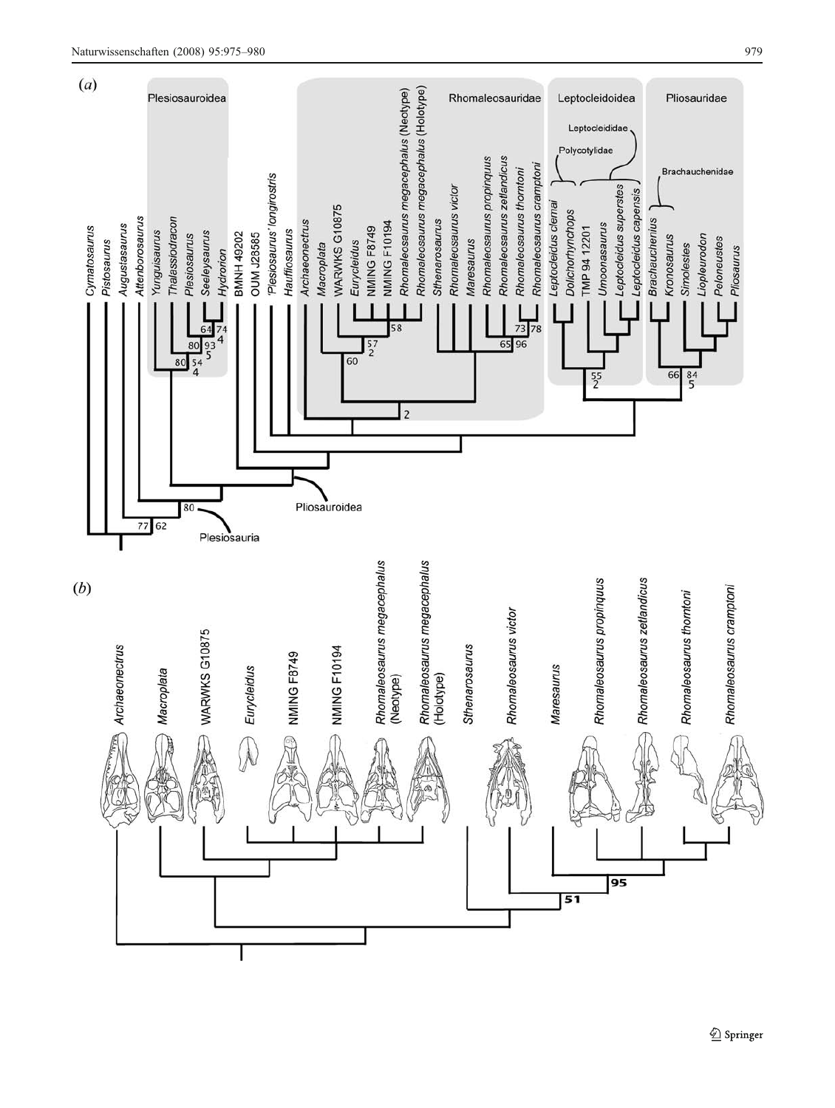

Springer